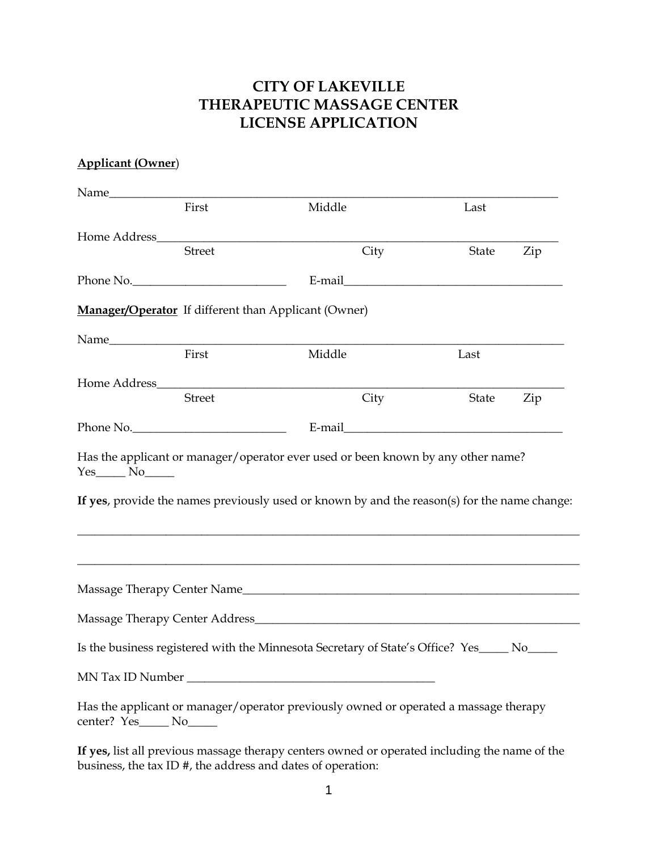# **CITY OF LAKEVILLE THERAPEUTIC MASSAGE CENTER LICENSE APPLICATION**

### **Applicant (Owner**)

|                         | First         | Middle                                                                                        | Last                                                                                                           |     |
|-------------------------|---------------|-----------------------------------------------------------------------------------------------|----------------------------------------------------------------------------------------------------------------|-----|
|                         |               | Home Address https://www.acceleration.com/                                                    |                                                                                                                |     |
|                         | <b>Street</b> | City                                                                                          | State                                                                                                          | Zip |
|                         | Phone No.     |                                                                                               | E-mail explorer and the second services of the services of the services of the services of the services of the |     |
|                         |               | <b>Manager/Operator</b> If different than Applicant (Owner)                                   |                                                                                                                |     |
|                         |               |                                                                                               |                                                                                                                |     |
|                         | First         | Middle                                                                                        | Last                                                                                                           |     |
|                         |               |                                                                                               |                                                                                                                |     |
|                         | <b>Street</b> | City                                                                                          | State                                                                                                          | Zip |
|                         | Phone No.     |                                                                                               |                                                                                                                |     |
|                         |               |                                                                                               |                                                                                                                |     |
|                         |               |                                                                                               |                                                                                                                |     |
|                         |               |                                                                                               |                                                                                                                |     |
|                         |               | Is the business registered with the Minnesota Secretary of State's Office? Yes____ No____     |                                                                                                                |     |
|                         |               |                                                                                               |                                                                                                                |     |
| center? Yes_____ No____ |               | Has the applicant or manager/operator previously owned or operated a massage therapy          |                                                                                                                |     |
|                         |               | If yes, list all previous massage therapy centers owned or operated including the name of the |                                                                                                                |     |

business, the tax ID #, the address and dates of operation: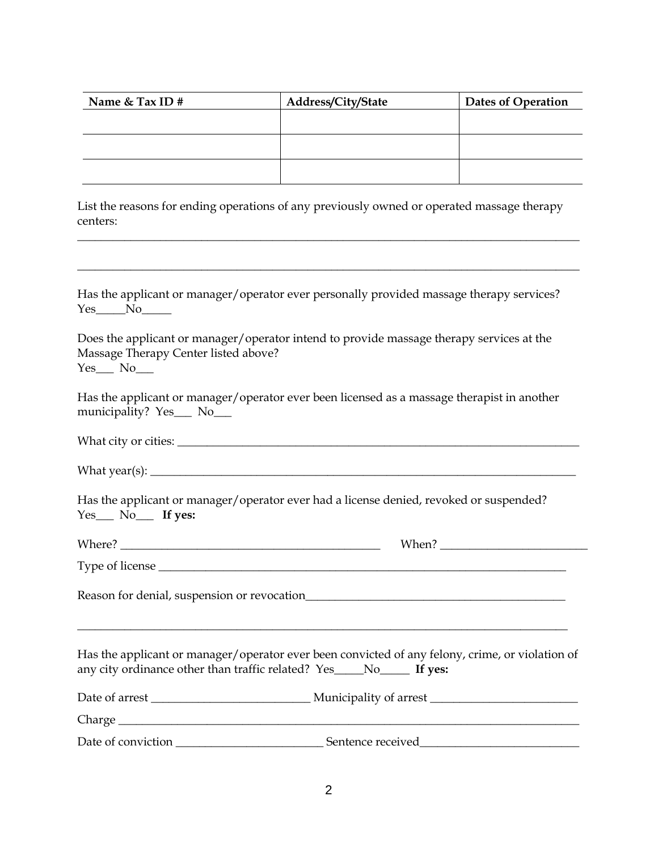| Name & Tax ID # | Address/City/State | <b>Dates of Operation</b> |  |
|-----------------|--------------------|---------------------------|--|
|                 |                    |                           |  |
|                 |                    |                           |  |
|                 |                    |                           |  |
|                 |                    |                           |  |

List the reasons for ending operations of any previously owned or operated massage therapy centers:

\_\_\_\_\_\_\_\_\_\_\_\_\_\_\_\_\_\_\_\_\_\_\_\_\_\_\_\_\_\_\_\_\_\_\_\_\_\_\_\_\_\_\_\_\_\_\_\_\_\_\_\_\_\_\_\_\_\_\_\_\_\_\_\_\_\_\_\_\_\_\_\_\_\_\_\_\_\_\_\_\_\_\_\_\_

\_\_\_\_\_\_\_\_\_\_\_\_\_\_\_\_\_\_\_\_\_\_\_\_\_\_\_\_\_\_\_\_\_\_\_\_\_\_\_\_\_\_\_\_\_\_\_\_\_\_\_\_\_\_\_\_\_\_\_\_\_\_\_\_\_\_\_\_\_\_\_\_\_\_\_\_\_\_\_\_\_\_\_\_\_

Has the applicant or manager/operator ever personally provided massage therapy services? Yes No

Does the applicant or manager/operator intend to provide massage therapy services at the Massage Therapy Center listed above?  $Yes$  No $\Box$ 

Has the applicant or manager/operator ever been licensed as a massage therapist in another municipality? Yes\_\_\_ No\_\_\_

| What city or cities: |
|----------------------|
|----------------------|

What year(s): \_\_\_\_\_\_\_\_\_\_\_\_\_\_\_\_\_\_\_\_\_\_\_\_\_\_\_\_\_\_\_\_\_\_\_\_\_\_\_\_\_\_\_\_\_\_\_\_\_\_\_\_\_\_\_\_\_\_\_\_\_\_\_\_\_\_\_\_\_\_\_\_

Has the applicant or manager/operator ever had a license denied, revoked or suspended? Yes\_\_ No\_\_\_ **If yes:** 

|                                                                                                                                                                                                                               | Type of license                                                                                                                                                          |
|-------------------------------------------------------------------------------------------------------------------------------------------------------------------------------------------------------------------------------|--------------------------------------------------------------------------------------------------------------------------------------------------------------------------|
|                                                                                                                                                                                                                               |                                                                                                                                                                          |
|                                                                                                                                                                                                                               | Has the applicant or manager/operator ever been convicted of any felony, crime, or violation of<br>any city ordinance other than traffic related? Yes____No_____ If yes: |
|                                                                                                                                                                                                                               |                                                                                                                                                                          |
| Charge entry and the contract of the contract of the contract of the contract of the contract of the contract of the contract of the contract of the contract of the contract of the contract of the contract of the contract |                                                                                                                                                                          |
|                                                                                                                                                                                                                               |                                                                                                                                                                          |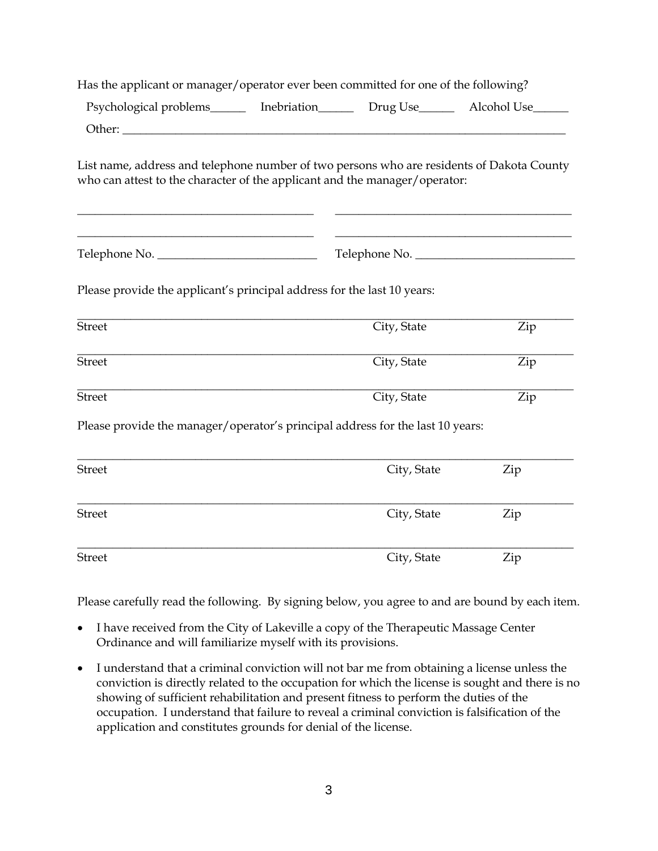| Has the applicant or manager/operator ever been committed for one of the following?                                                                                     |               |     |
|-------------------------------------------------------------------------------------------------------------------------------------------------------------------------|---------------|-----|
| Psychological problems________ Inebriation_________ Drug Use_________ Alcohol Use_______                                                                                |               |     |
| Other:                                                                                                                                                                  |               |     |
| List name, address and telephone number of two persons who are residents of Dakota County<br>who can attest to the character of the applicant and the manager/operator: |               |     |
|                                                                                                                                                                         | Telephone No. |     |
| Please provide the applicant's principal address for the last 10 years:                                                                                                 |               |     |
| <b>Street</b>                                                                                                                                                           | City, State   | Zip |
| <b>Street</b>                                                                                                                                                           | City, State   | Zip |
| <b>Street</b>                                                                                                                                                           | City, State   | Zip |
| Please provide the manager/operator's principal address for the last 10 years:                                                                                          |               |     |
| <b>Street</b>                                                                                                                                                           | City, State   | Zip |
| <b>Street</b>                                                                                                                                                           | City, State   | Zip |
| <b>Street</b>                                                                                                                                                           | City, State   | Zip |

Please carefully read the following. By signing below, you agree to and are bound by each item.

- I have received from the City of Lakeville a copy of the Therapeutic Massage Center Ordinance and will familiarize myself with its provisions.
- I understand that a criminal conviction will not bar me from obtaining a license unless the conviction is directly related to the occupation for which the license is sought and there is no showing of sufficient rehabilitation and present fitness to perform the duties of the occupation. I understand that failure to reveal a criminal conviction is falsification of the application and constitutes grounds for denial of the license.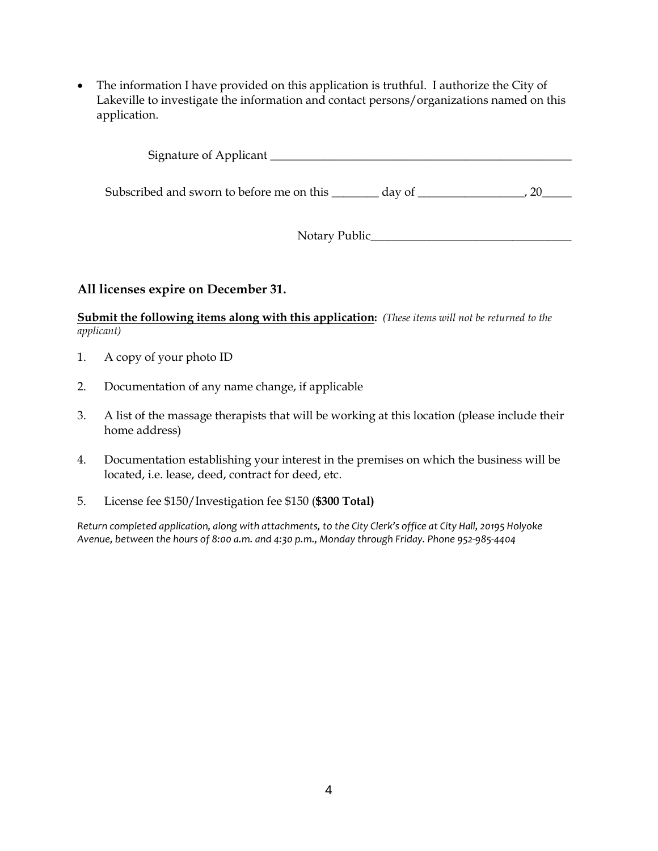• The information I have provided on this application is truthful. I authorize the City of Lakeville to investigate the information and contact persons/organizations named on this application.

Signature of Applicant \_\_\_\_\_\_\_\_\_\_\_\_\_\_\_\_\_\_\_\_\_\_\_\_\_\_\_\_\_\_\_\_\_\_\_\_\_\_\_\_\_\_\_\_\_\_\_\_\_\_\_

Subscribed and sworn to before me on this \_\_\_\_\_\_\_ day of \_\_\_\_\_\_\_\_\_\_\_\_\_\_\_\_\_, 20\_\_\_\_\_

Notary Public\_\_\_\_\_\_\_\_\_\_\_\_\_\_\_\_\_\_\_\_\_\_\_\_\_\_\_\_\_\_\_\_\_\_

#### **All licenses expire on December 31.**

**Submit the following items along with this application:** *(These items will not be returned to the applicant)*

- 1. A copy of your photo ID
- 2. Documentation of any name change, if applicable
- 3. A list of the massage therapists that will be working at this location (please include their home address)
- 4. Documentation establishing your interest in the premises on which the business will be located, i.e. lease, deed, contract for deed, etc.
- 5. License fee \$150/Investigation fee \$150 (**\$300 Total)**

*Return completed application, along with attachments, to the City Clerk's office at City Hall, 20195 Holyoke Avenue, between the hours of 8:00 a.m. and 4:30 p.m., Monday through Friday. Phone 952-985-4404*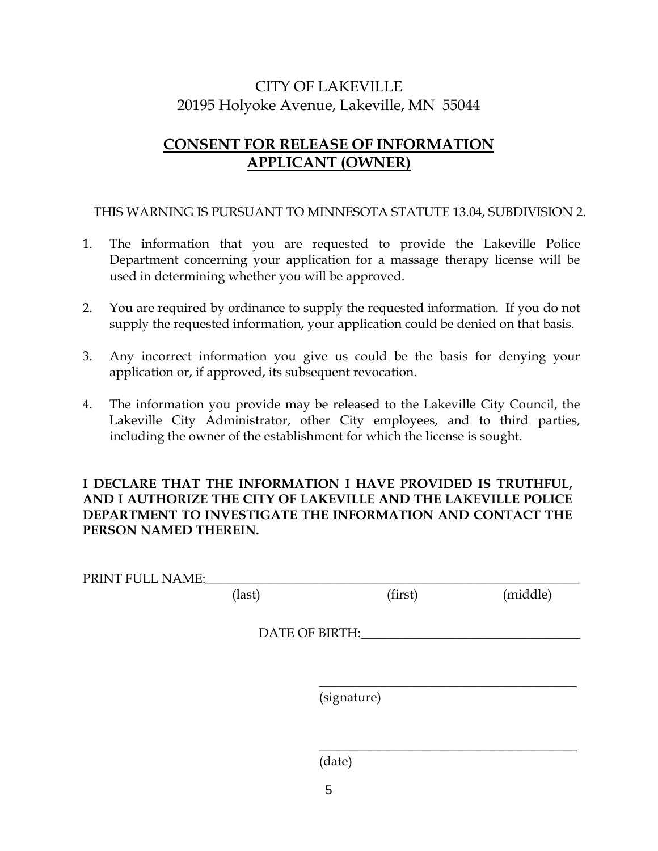# CITY OF LAKEVILLE 20195 Holyoke Avenue, Lakeville, MN 55044

# **CONSENT FOR RELEASE OF INFORMATION APPLICANT (OWNER)**

THIS WARNING IS PURSUANT TO MINNESOTA STATUTE 13.04, SUBDIVISION 2.

- 1. The information that you are requested to provide the Lakeville Police Department concerning your application for a massage therapy license will be used in determining whether you will be approved.
- 2. You are required by ordinance to supply the requested information. If you do not supply the requested information, your application could be denied on that basis.
- 3. Any incorrect information you give us could be the basis for denying your application or, if approved, its subsequent revocation.
- 4. The information you provide may be released to the Lakeville City Council, the Lakeville City Administrator, other City employees, and to third parties, including the owner of the establishment for which the license is sought.

### **I DECLARE THAT THE INFORMATION I HAVE PROVIDED IS TRUTHFUL, AND I AUTHORIZE THE CITY OF LAKEVILLE AND THE LAKEVILLE POLICE DEPARTMENT TO INVESTIGATE THE INFORMATION AND CONTACT THE PERSON NAMED THEREIN.**

| PRINT FULL NAME:_ |        |                |         |          |
|-------------------|--------|----------------|---------|----------|
|                   | (last) |                | (first) | (middle) |
|                   |        |                |         |          |
|                   |        | DATE OF BIRTH: |         |          |
|                   |        |                |         |          |
|                   |        |                |         |          |
|                   |        |                |         |          |
|                   |        | (signature)    |         |          |
|                   |        |                |         |          |

(date)

 $\overline{\phantom{a}}$  , and the set of the set of the set of the set of the set of the set of the set of the set of the set of the set of the set of the set of the set of the set of the set of the set of the set of the set of the s